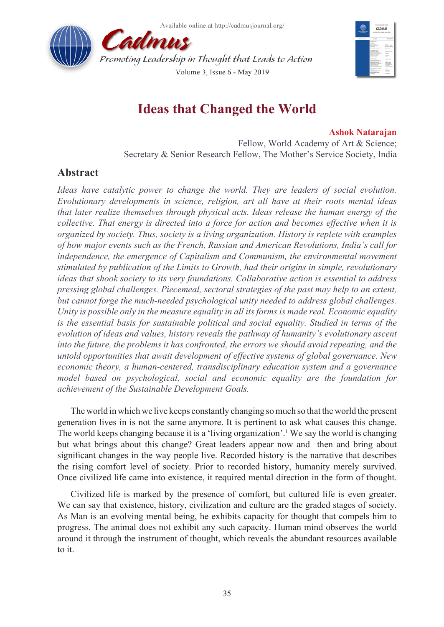Available online at http://cadmusiournal.org/





# **Ideas that Changed the World**

### **Ashok Natarajan**

Fellow, World Academy of Art & Science; Secretary & Senior Research Fellow, The Mother's Service Society, India

# **Abstract**

*Ideas have catalytic power to change the world. They are leaders of social evolution. Evolutionary developments in science, religion, art all have at their roots mental ideas that later realize themselves through physical acts. Ideas release the human energy of the collective. That energy is directed into a force for action and becomes effective when it is organized by society. Thus, society is a living organization. History is replete with examples of how major events such as the French, Russian and American Revolutions, India's call for*  independence, the emergence of Capitalism and Communism, the environmental movement *stimulated by publication of the Limits to Growth, had their origins in simple, revolutionary ideas that shook society to its very foundations. Collaborative action is essential to address pressing global challenges. Piecemeal, sectoral strategies of the past may help to an extent, but cannot forge the much-needed psychological unity needed to address global challenges. Unity is possible only in the measure equality in all its forms is made real. Economic equality is the essential basis for sustainable political and social equality. Studied in terms of the evolution of ideas and values, history reveals the pathway of humanity's evolutionary ascent into the future, the problems it has confronted, the errors we should avoid repeating, and the untold opportunities that await development of effective systems of global governance. New economic theory, a human-centered, transdisciplinary education system and a governance model based on psychological, social and economic equality are the foundation for achievement of the Sustainable Development Goals.*

The world in which we live keeps constantly changing so much so that the world the present generation lives in is not the same anymore. It is pertinent to ask what causes this change. The world keeps changing because it is a 'living organization'.[1](#page-7-0) We say the world is changing but what brings about this change? Great leaders appear now and then and bring about significant changes in the way people live. Recorded history is the narrative that describes the rising comfort level of society. Prior to recorded history, humanity merely survived. Once civilized life came into existence, it required mental direction in the form of thought.

Civilized life is marked by the presence of comfort, but cultured life is even greater. We can say that existence, history, civilization and culture are the graded stages of society. As Man is an evolving mental being, he exhibits capacity for thought that compels him to progress. The animal does not exhibit any such capacity. Human mind observes the world around it through the instrument of thought, which reveals the abundant resources available to it.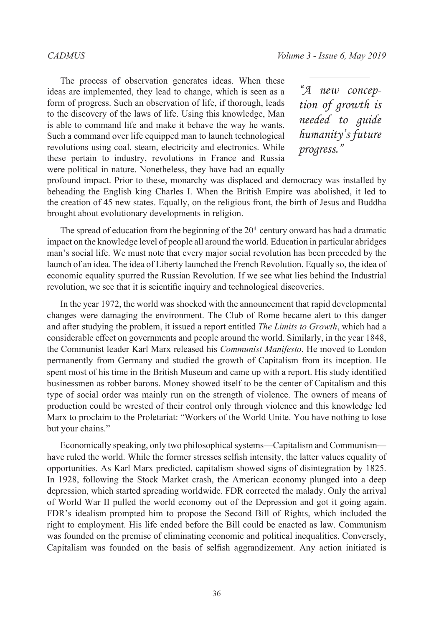The process of observation generates ideas. When these ideas are implemented, they lead to change, which is seen as a form of progress. Such an observation of life, if thorough, leads to the discovery of the laws of life. Using this knowledge, Man is able to command life and make it behave the way he wants. Such a command over life equipped man to launch technological revolutions using coal, steam, electricity and electronics. While these pertain to industry, revolutions in France and Russia were political in nature. Nonetheless, they have had an equally

*"A new conception of growth is needed to guide humanity's future progress."*

profound impact. Prior to these, monarchy was displaced and democracy was installed by beheading the English king Charles I. When the British Empire was abolished, it led to the creation of 45 new states. Equally, on the religious front, the birth of Jesus and Buddha brought about evolutionary developments in religion.

The spread of education from the beginning of the  $20<sup>th</sup>$  century onward has had a dramatic impact on the knowledge level of people all around the world. Education in particular abridges man's social life. We must note that every major social revolution has been preceded by the launch of an idea. The idea of Liberty launched the French Revolution. Equally so, the idea of economic equality spurred the Russian Revolution. If we see what lies behind the Industrial revolution, we see that it is scientific inquiry and technological discoveries.

In the year 1972, the world was shocked with the announcement that rapid developmental changes were damaging the environment. The Club of Rome became alert to this danger and after studying the problem, it issued a report entitled *The Limits to Growth*, which had a considerable effect on governments and people around the world. Similarly, in the year 1848, the Communist leader Karl Marx released his *Communist Manifesto*. He moved to London permanently from Germany and studied the growth of Capitalism from its inception. He spent most of his time in the British Museum and came up with a report. His study identified businessmen as robber barons. Money showed itself to be the center of Capitalism and this type of social order was mainly run on the strength of violence. The owners of means of production could be wrested of their control only through violence and this knowledge led Marx to proclaim to the Proletariat: "Workers of the World Unite. You have nothing to lose but your chains."

Economically speaking, only two philosophical systems—Capitalism and Communism have ruled the world. While the former stresses selfish intensity, the latter values equality of opportunities. As Karl Marx predicted, capitalism showed signs of disintegration by 1825. In 1928, following the Stock Market crash, the American economy plunged into a deep depression, which started spreading worldwide. FDR corrected the malady. Only the arrival of World War II pulled the world economy out of the Depression and got it going again. FDR's idealism prompted him to propose the Second Bill of Rights, which included the right to employment. His life ended before the Bill could be enacted as law. Communism was founded on the premise of eliminating economic and political inequalities. Conversely, Capitalism was founded on the basis of selfish aggrandizement. Any action initiated is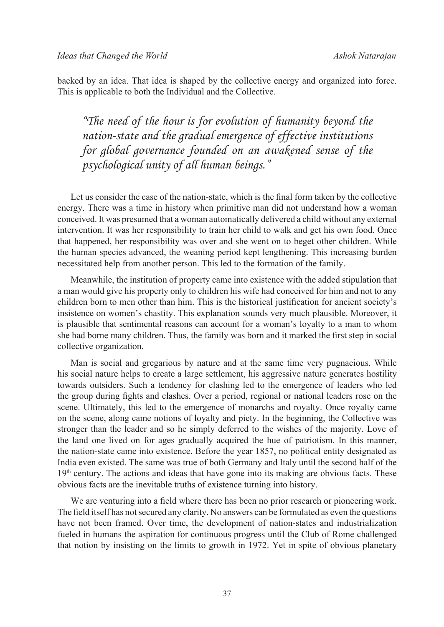backed by an idea. That idea is shaped by the collective energy and organized into force. This is applicable to both the Individual and the Collective.

*"The need of the hour is for evolution of humanity beyond the nation-state and the gradual emergence of effective institutions for global governance founded on an awakened sense of the psychological unity of all human beings."*

Let us consider the case of the nation-state, which is the final form taken by the collective energy. There was a time in history when primitive man did not understand how a woman conceived. It was presumed that a woman automatically delivered a child without any external intervention. It was her responsibility to train her child to walk and get his own food. Once that happened, her responsibility was over and she went on to beget other children. While the human species advanced, the weaning period kept lengthening. This increasing burden necessitated help from another person. This led to the formation of the family.

Meanwhile, the institution of property came into existence with the added stipulation that a man would give his property only to children his wife had conceived for him and not to any children born to men other than him. This is the historical justification for ancient society's insistence on women's chastity. This explanation sounds very much plausible. Moreover, it is plausible that sentimental reasons can account for a woman's loyalty to a man to whom she had borne many children. Thus, the family was born and it marked the first step in social collective organization.

Man is social and gregarious by nature and at the same time very pugnacious. While his social nature helps to create a large settlement, his aggressive nature generates hostility towards outsiders. Such a tendency for clashing led to the emergence of leaders who led the group during fights and clashes. Over a period, regional or national leaders rose on the scene. Ultimately, this led to the emergence of monarchs and royalty. Once royalty came on the scene, along came notions of loyalty and piety. In the beginning, the Collective was stronger than the leader and so he simply deferred to the wishes of the majority. Love of the land one lived on for ages gradually acquired the hue of patriotism. In this manner, the nation-state came into existence. Before the year 1857, no political entity designated as India even existed. The same was true of both Germany and Italy until the second half of the  $19<sup>th</sup>$  century. The actions and ideas that have gone into its making are obvious facts. These obvious facts are the inevitable truths of existence turning into history.

We are venturing into a field where there has been no prior research or pioneering work. The field itself has not secured any clarity. No answers can be formulated as even the questions have not been framed. Over time, the development of nation-states and industrialization fueled in humans the aspiration for continuous progress until the Club of Rome challenged that notion by insisting on the limits to growth in 1972. Yet in spite of obvious planetary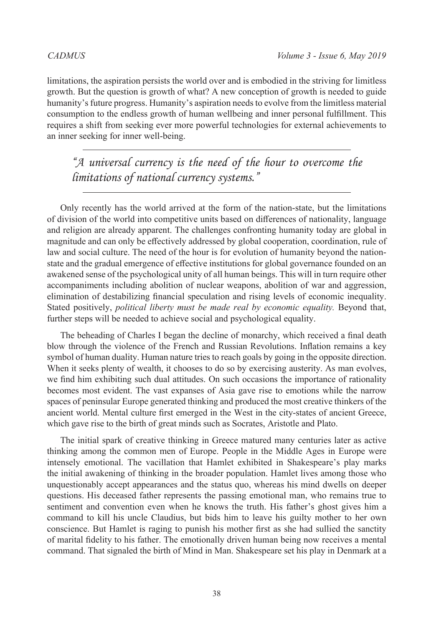limitations, the aspiration persists the world over and is embodied in the striving for limitless growth. But the question is growth of what? A new conception of growth is needed to guide humanity's future progress. Humanity's aspiration needs to evolve from the limitless material consumption to the endless growth of human wellbeing and inner personal fulfillment. This requires a shift from seeking ever more powerful technologies for external achievements to an inner seeking for inner well-being.

*"A universal currency is the need of the hour to overcome the limitations of national currency systems."*

Only recently has the world arrived at the form of the nation-state, but the limitations of division of the world into competitive units based on differences of nationality, language and religion are already apparent. The challenges confronting humanity today are global in magnitude and can only be effectively addressed by global cooperation, coordination, rule of law and social culture. The need of the hour is for evolution of humanity beyond the nationstate and the gradual emergence of effective institutions for global governance founded on an awakened sense of the psychological unity of all human beings. This will in turn require other accompaniments including abolition of nuclear weapons, abolition of war and aggression, elimination of destabilizing financial speculation and rising levels of economic inequality. Stated positively, *political liberty must be made real by economic equality*. Beyond that, further steps will be needed to achieve social and psychological equality.

The beheading of Charles I began the decline of monarchy, which received a final death blow through the violence of the French and Russian Revolutions. Inflation remains a key symbol of human duality. Human nature tries to reach goals by going in the opposite direction. When it seeks plenty of wealth, it chooses to do so by exercising austerity. As man evolves, we find him exhibiting such dual attitudes. On such occasions the importance of rationality becomes most evident. The vast expanses of Asia gave rise to emotions while the narrow spaces of peninsular Europe generated thinking and produced the most creative thinkers of the ancient world. Mental culture first emerged in the West in the city-states of ancient Greece, which gave rise to the birth of great minds such as Socrates, Aristotle and Plato.

The initial spark of creative thinking in Greece matured many centuries later as active thinking among the common men of Europe. People in the Middle Ages in Europe were intensely emotional. The vacillation that Hamlet exhibited in Shakespeare's play marks the initial awakening of thinking in the broader population. Hamlet lives among those who unquestionably accept appearances and the status quo, whereas his mind dwells on deeper questions. His deceased father represents the passing emotional man, who remains true to sentiment and convention even when he knows the truth. His father's ghost gives him a command to kill his uncle Claudius, but bids him to leave his guilty mother to her own conscience. But Hamlet is raging to punish his mother first as she had sullied the sanctity of marital fidelity to his father. The emotionally driven human being now receives a mental command. That signaled the birth of Mind in Man. Shakespeare set his play in Denmark at a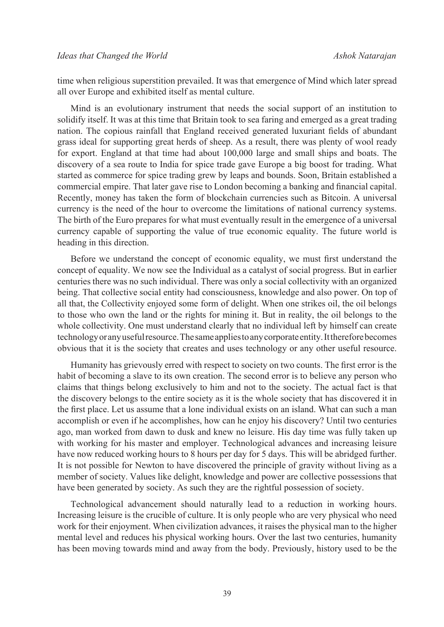time when religious superstition prevailed. It was that emergence of Mind which later spread all over Europe and exhibited itself as mental culture.

Mind is an evolutionary instrument that needs the social support of an institution to solidify itself. It was at this time that Britain took to sea faring and emerged as a great trading nation. The copious rainfall that England received generated luxuriant fields of abundant grass ideal for supporting great herds of sheep. As a result, there was plenty of wool ready for export. England at that time had about 100,000 large and small ships and boats. The discovery of a sea route to India for spice trade gave Europe a big boost for trading. What started as commerce for spice trading grew by leaps and bounds. Soon, Britain established a commercial empire. That later gave rise to London becoming a banking and financial capital. Recently, money has taken the form of blockchain currencies such as Bitcoin. A universal currency is the need of the hour to overcome the limitations of national currency systems. The birth of the Euro prepares for what must eventually result in the emergence of a universal currency capable of supporting the value of true economic equality. The future world is heading in this direction.

Before we understand the concept of economic equality, we must first understand the concept of equality. We now see the Individual as a catalyst of social progress. But in earlier centuries there was no such individual. There was only a social collectivity with an organized being. That collective social entity had consciousness, knowledge and also power. On top of all that, the Collectivity enjoyed some form of delight. When one strikes oil, the oil belongs to those who own the land or the rights for mining it. But in reality, the oil belongs to the whole collectivity. One must understand clearly that no individual left by himself can create technology or any useful resource. The same applies to any corporate entity. It therefore becomes obvious that it is the society that creates and uses technology or any other useful resource.

Humanity has grievously erred with respect to society on two counts. The first error is the habit of becoming a slave to its own creation. The second error is to believe any person who claims that things belong exclusively to him and not to the society. The actual fact is that the discovery belongs to the entire society as it is the whole society that has discovered it in the first place. Let us assume that a lone individual exists on an island. What can such a man accomplish or even if he accomplishes, how can he enjoy his discovery? Until two centuries ago, man worked from dawn to dusk and knew no leisure. His day time was fully taken up with working for his master and employer. Technological advances and increasing leisure have now reduced working hours to 8 hours per day for 5 days. This will be abridged further. It is not possible for Newton to have discovered the principle of gravity without living as a member of society. Values like delight, knowledge and power are collective possessions that have been generated by society. As such they are the rightful possession of society.

Technological advancement should naturally lead to a reduction in working hours. Increasing leisure is the crucible of culture. It is only people who are very physical who need work for their enjoyment. When civilization advances, it raises the physical man to the higher mental level and reduces his physical working hours. Over the last two centuries, humanity has been moving towards mind and away from the body. Previously, history used to be the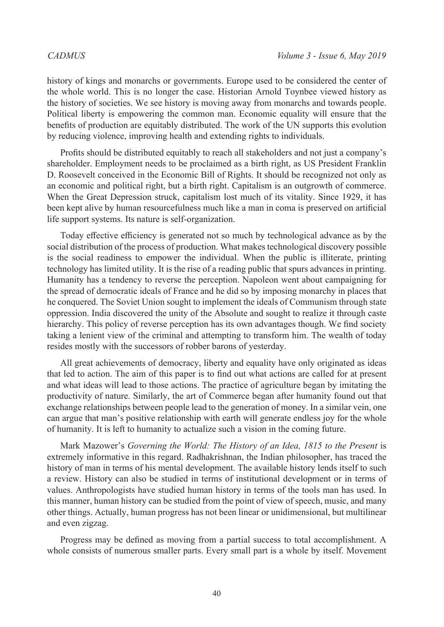history of kings and monarchs or governments. Europe used to be considered the center of the whole world. This is no longer the case. Historian Arnold Toynbee viewed history as the history of societies. We see history is moving away from monarchs and towards people. Political liberty is empowering the common man. Economic equality will ensure that the benefits of production are equitably distributed. The work of the UN supports this evolution by reducing violence, improving health and extending rights to individuals.

Profits should be distributed equitably to reach all stakeholders and not just a company's shareholder. Employment needs to be proclaimed as a birth right, as US President Franklin D. Roosevelt conceived in the Economic Bill of Rights. It should be recognized not only as an economic and political right, but a birth right. Capitalism is an outgrowth of commerce. When the Great Depression struck, capitalism lost much of its vitality. Since 1929, it has been kept alive by human resourcefulness much like a man in coma is preserved on artificial life support systems. Its nature is self-organization.

Today effective efficiency is generated not so much by technological advance as by the social distribution of the process of production. What makes technological discovery possible is the social readiness to empower the individual. When the public is illiterate, printing technology has limited utility. It is the rise of a reading public that spurs advances in printing. Humanity has a tendency to reverse the perception. Napoleon went about campaigning for the spread of democratic ideals of France and he did so by imposing monarchy in places that he conquered. The Soviet Union sought to implement the ideals of Communism through state oppression. India discovered the unity of the Absolute and sought to realize it through caste hierarchy. This policy of reverse perception has its own advantages though. We find society taking a lenient view of the criminal and attempting to transform him. The wealth of today resides mostly with the successors of robber barons of yesterday.

All great achievements of democracy, liberty and equality have only originated as ideas that led to action. The aim of this paper is to find out what actions are called for at present and what ideas will lead to those actions. The practice of agriculture began by imitating the productivity of nature. Similarly, the art of Commerce began after humanity found out that exchange relationships between people lead to the generation of money. In a similar vein, one can argue that man's positive relationship with earth will generate endless joy for the whole of humanity. It is left to humanity to actualize such a vision in the coming future.

Mark Mazower's *Governing the World: The History of an Idea, 1815 to the Present* is extremely informative in this regard. Radhakrishnan, the Indian philosopher, has traced the history of man in terms of his mental development. The available history lends itself to such a review. History can also be studied in terms of institutional development or in terms of values. Anthropologists have studied human history in terms of the tools man has used. In this manner, human history can be studied from the point of view of speech, music, and many other things. Actually, human progress has not been linear or unidimensional, but multilinear and even zigzag.

Progress may be defined as moving from a partial success to total accomplishment. A whole consists of numerous smaller parts. Every small part is a whole by itself. Movement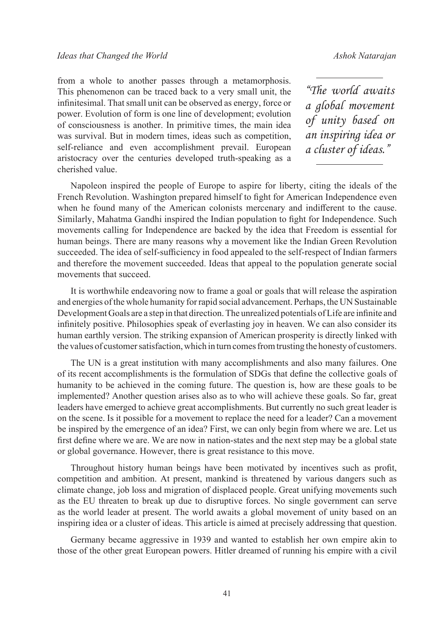from a whole to another passes through a metamorphosis. This phenomenon can be traced back to a very small unit, the infinitesimal. That small unit can be observed as energy, force or power. Evolution of form is one line of development; evolution of consciousness is another. In primitive times, the main idea was survival. But in modern times, ideas such as competition, self-reliance and even accomplishment prevail. European aristocracy over the centuries developed truth-speaking as a cherished value.

*"The world awaits a global movement of unity based on an inspiring idea or a cluster of ideas."*

Napoleon inspired the people of Europe to aspire for liberty, citing the ideals of the French Revolution. Washington prepared himself to fight for American Independence even when he found many of the American colonists mercenary and indifferent to the cause. Similarly, Mahatma Gandhi inspired the Indian population to fight for Independence. Such movements calling for Independence are backed by the idea that Freedom is essential for human beings. There are many reasons why a movement like the Indian Green Revolution succeeded. The idea of self-sufficiency in food appealed to the self-respect of Indian farmers and therefore the movement succeeded. Ideas that appeal to the population generate social movements that succeed.

It is worthwhile endeavoring now to frame a goal or goals that will release the aspiration and energies of the whole humanity for rapid social advancement. Perhaps, the UN Sustainable Development Goals are a step in that direction. The unrealized potentials of Life are infinite and infinitely positive. Philosophies speak of everlasting joy in heaven. We can also consider its human earthly version. The striking expansion of American prosperity is directly linked with the values of customer satisfaction, which in turn comes from trusting the honesty of customers.

The UN is a great institution with many accomplishments and also many failures. One of its recent accomplishments is the formulation of SDGs that define the collective goals of humanity to be achieved in the coming future. The question is, how are these goals to be implemented? Another question arises also as to who will achieve these goals. So far, great leaders have emerged to achieve great accomplishments. But currently no such great leader is on the scene. Is it possible for a movement to replace the need for a leader? Can a movement be inspired by the emergence of an idea? First, we can only begin from where we are. Let us first define where we are. We are now in nation-states and the next step may be a global state or global governance. However, there is great resistance to this move.

Throughout history human beings have been motivated by incentives such as profit, competition and ambition. At present, mankind is threatened by various dangers such as climate change, job loss and migration of displaced people. Great unifying movements such as the EU threaten to break up due to disruptive forces. No single government can serve as the world leader at present. The world awaits a global movement of unity based on an inspiring idea or a cluster of ideas. This article is aimed at precisely addressing that question.

Germany became aggressive in 1939 and wanted to establish her own empire akin to those of the other great European powers. Hitler dreamed of running his empire with a civil